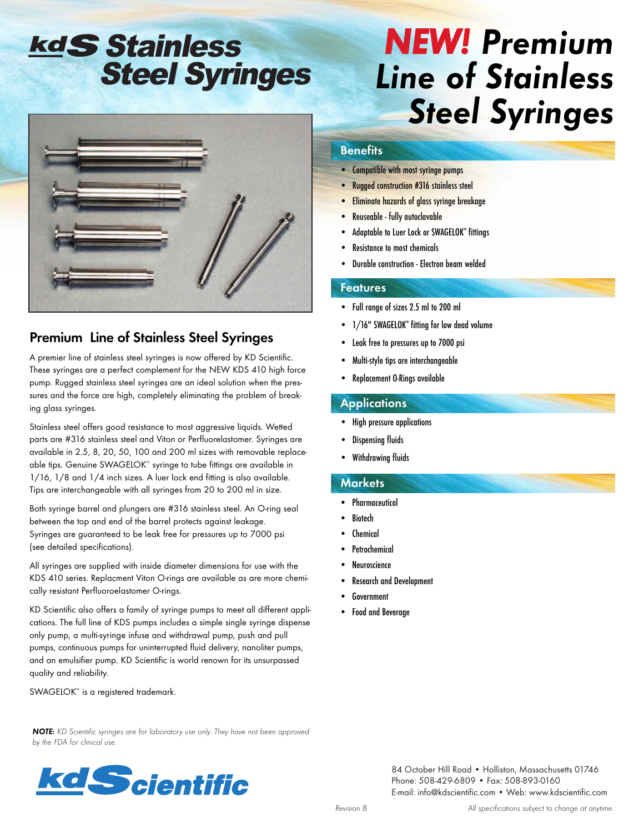# kdS Stainless Steel Syringes



### **Premium Line of Stainless Steel Syringes**

A premier line of stainless steel syringes is now offered by KD Scientific. These syringes are a perfect complement for the NEW KDS 410 high force pump. Rugged stainless steel syringes are an ideal solution when the pressures and the force are high, completely eliminating the problem of breaking glass syringes.

Stainless steel offers good resistance to most aggressive liquids. Wetted parts are #316 stainless steel and Viton or Perfluorelastomer. Syringes are available in 2.5, 8, 20, 50, 100 and 200 ml sizes with removable replaceable tips. Genuine SWAGELOK™ syringe to tube fittings are available in 1/16, 1/8 and 1/4 inch sizes. A luer lock end fitting is also available. Tips are interchangeable with all syringes from 20 to 200 ml in size.

Both syringe barrel and plungers are #316 stainless steel. An O-ring seal between the top and end of the barrel protects against leakage. Syringes are guaranteed to be leak free for pressures up to 7000 psi (see detailed specifications).

All syringes are supplied with inside diameter dimensions for use with the KDS 410 series. Replacment Viton O-rings are available as are more chemically resistant Perfluoroelastomer O-rings.

KD Scientific also offers a family of syringe pumps to meet all different applications. The full line of KDS pumps includes a simple single syringe dispense only pump, a multi-syringe infuse and withdrawal pump, push and pull pumps, continuous pumps for uninterrupted fluid delivery, nanoliter pumps, and an emulsifier pump. KD Scientific is world renown for its unsurpassed quality and reliability.

*NOTE: KD Scientific syringes are for laboratory use only. They have not been approved*

SWAGELOK<sup>™</sup> is a registered trademark.

*by the FDA for clinical use.*

# *NEW! Premium Line of Stainless Steel Syringes*

#### **Benefits**

- Compatible with most syringe pumps
- Rugged construction #316 stainless steel
- Eliminate hazards of glass syringe breakage
- Reuseable fully autoclavable
- Adaptable to Luer Lock or SWAGELOK™ fittings
- Resistance to most chemicals
- Durable construction Electron beam welded

#### **Features**

- Full range of sizes 2.5 ml to 200 ml
- 1/16" SWAGELOK™ fitting for low dead volume
- Leak free to pressures up to 7000 psi
- Multi-style tips are interchangeable
- Replacement O-Rings available

#### **Applications**

- High pressure applications
- Dispensing fluids
- Withdrawing fluids

#### **Markets**

- Pharmaceutical
- **Biotech**
- **Chemical**
- **Petrochemical**
- **Neuroscience**
- Research and Development
- **Government**
- Food and Beverage



84 October Hill Road • Holliston, Massachusetts 01746 Phone: 508-429-6809 • Fax: 508-893-0160 E-mail: info@kdscientific.com • Web: www.kdscientific.com